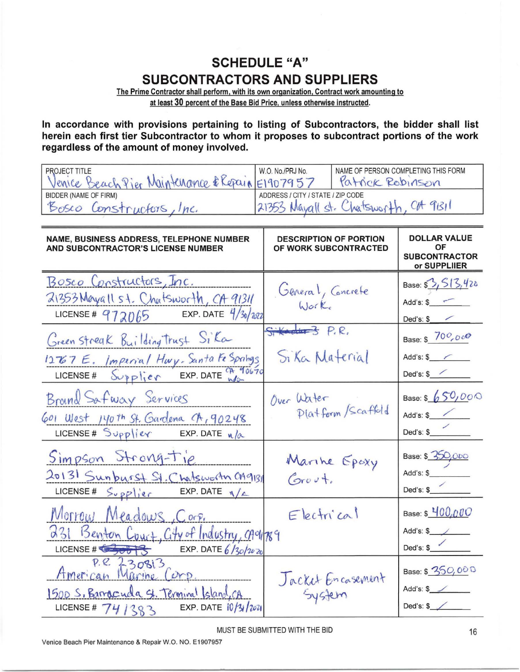## **SCHEDULE "A" SUBCONTRACTORS AND SUPPLIERS**

The Prime Contractor shall perform. with its own organization. Contract work amounting to at least 30 percent of the Base Bid Price. unless otherwise instructed.

In accordance with provisions pertaining to listing of Subcontractors, the bidder shall list herein each first tier Subcontractor to whom it proposes to subcontract portions of the work regardless of the amount of money involved.

| PROJECT TITLE<br>Venice Beach Pier Maintenance & Repair                                                                                                                                                                                                                                                                                                                                           | NAME OF PERSON COMPLETING THIS FORM<br>W.O. No./PRJ No.<br>Patrick Rebinson<br>E1907957 |                                                                   |  |  |
|---------------------------------------------------------------------------------------------------------------------------------------------------------------------------------------------------------------------------------------------------------------------------------------------------------------------------------------------------------------------------------------------------|-----------------------------------------------------------------------------------------|-------------------------------------------------------------------|--|--|
| <b>BIDDER (NAME OF FIRM)</b>                                                                                                                                                                                                                                                                                                                                                                      | ADDRESS / CITY / STATE / ZIP CODE                                                       |                                                                   |  |  |
| 21353 Mayall st. Chatsworth, CH 91311<br>Bosco Constructors, Inc.                                                                                                                                                                                                                                                                                                                                 |                                                                                         |                                                                   |  |  |
| <b>NAME, BUSINESS ADDRESS, TELEPHONE NUMBER</b><br>AND SUBCONTRACTOR'S LICENSE NUMBER                                                                                                                                                                                                                                                                                                             | <b>DESCRIPTION OF PORTION</b><br>OF WORK SUBCONTRACTED                                  | <b>DOLLAR VALUE</b><br>ΟF<br><b>SUBCONTRACTOR</b><br>or SUPPLIIER |  |  |
| Bosco Constructors, Inc.<br>21353 Mayall 54. Chatsworth, CA 91311<br>LICENSE # 972065 EXP. DATE $4/30/302$                                                                                                                                                                                                                                                                                        | General, Concrete<br>Worke                                                              | Base: \$ 3, 513, 420<br>$Add's: $ \fbox{$<br>Ded's: $\sqrt[6]{}$  |  |  |
| Green Streak Building Trust Sika<br>12767 E. Imperial Huy. Santa Fe Springs<br>LICENSE# $\frac{1}{2}$ $\frac{1}{2}$ $\frac{1}{2}$ $\frac{1}{2}$ $\frac{1}{2}$ $\frac{1}{2}$ $\frac{1}{2}$ $\frac{1}{2}$ $\frac{1}{2}$ $\frac{1}{2}$ $\frac{1}{2}$ $\frac{1}{2}$ $\frac{1}{2}$ $\frac{1}{2}$ $\frac{1}{2}$ $\frac{1}{2}$ $\frac{1}{2}$ $\frac{1}{2}$ $\frac{1}{2}$ $\frac{1}{2}$ $\frac{1}{2}$ $\$ | $S+4$ $P.R.$<br>Si Ka Material                                                          | Base: \$ 700,000<br>Add's: \$<br>Ded's: $\frac{\sqrt{2}}{2}$      |  |  |
| Brand Safway Services<br>601 West 140th St. Gardena CA, 90248<br>LICENSE# $Supp\,$ ier EXP. DATE $n/a$                                                                                                                                                                                                                                                                                            | Over Water<br>Platform/Scaffold                                                         | Base: \$ 650,000<br>Add's: \$<br>Ded's: \$                        |  |  |
| Simpson Strong-tie<br>20131 Sunburst St. Chatsworth CA9131<br>LICENSE# $S_{v}$ pplier EXP. DATE $\sqrt{a}$                                                                                                                                                                                                                                                                                        | Marine Epoxy<br>Grevt                                                                   | Base: \$ 350,000<br>Add's: \$__________<br>Ded's: $\frac{2}{3}$   |  |  |
| Morrow Meadows, Corp.<br>231 Benton Court, City of Industry, caging<br>LICENSE #<br>EXP. DATE $6/30/20$                                                                                                                                                                                                                                                                                           | $E$ lectrical                                                                           | Base: \$ 400,000<br>Ded's: \$                                     |  |  |
| P.R. 230813<br><u> Hmerican</u> Marine<br>Corp<br>1500 S. Barroccuda St. Terminal Island, CA<br>EXP. DATE $10/31/204$<br>LICENSE # 74/383                                                                                                                                                                                                                                                         | Jacket Encasement                                                                       | Base: \$ 350,000<br>Add's: $\frac{1}{2}$<br>Ded's: $\sqrt{2}$     |  |  |

MUST BE SUBMITTED WITH THE BID

Venice Beach Pier Maintenance & Repair W.0. NO. E1907957